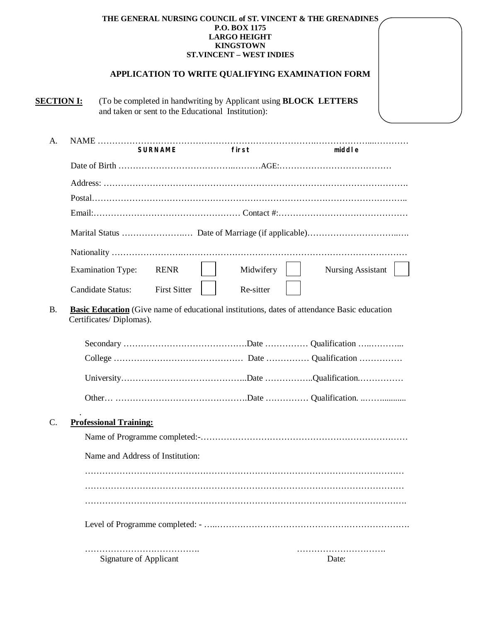## **THE GENERAL NURSING COUNCIL of ST. VINCENT & THE GRENADINES P.O. BOX 1175 LARGO HEIGHT KINGSTOWN ST.VINCENT – WEST INDIES**

## **APPLICATION TO WRITE QUALIFYING EXAMINATION FORM**

**SECTION I:** (To be completed in handwriting by Applicant using **BLOCK LETTERS** and taken or sent to the Educational Institution):

| A.        | <b>SURNAME</b>                                                                                                                | first     | middle                   |
|-----------|-------------------------------------------------------------------------------------------------------------------------------|-----------|--------------------------|
|           |                                                                                                                               |           |                          |
|           |                                                                                                                               |           |                          |
|           |                                                                                                                               |           |                          |
|           |                                                                                                                               |           |                          |
|           |                                                                                                                               |           |                          |
|           |                                                                                                                               |           |                          |
|           | <b>Examination Type:</b><br><b>RENR</b>                                                                                       | Midwifery | <b>Nursing Assistant</b> |
|           | <b>First Sitter</b><br><b>Candidate Status:</b>                                                                               | Re-sitter |                          |
| <b>B.</b> | <b>Basic Education</b> (Give name of educational institutions, dates of attendance Basic education<br>Certificates/Diplomas). |           |                          |
|           |                                                                                                                               |           |                          |
|           |                                                                                                                               |           |                          |
|           |                                                                                                                               |           |                          |
|           |                                                                                                                               |           |                          |
| $C$ .     | <b>Professional Training:</b>                                                                                                 |           |                          |
|           |                                                                                                                               |           |                          |
|           | Name and Address of Institution:                                                                                              |           |                          |
|           |                                                                                                                               |           |                          |
|           |                                                                                                                               |           |                          |
|           |                                                                                                                               |           |                          |
|           |                                                                                                                               |           |                          |
|           | <b>Signature of Applicant</b>                                                                                                 |           | Date:                    |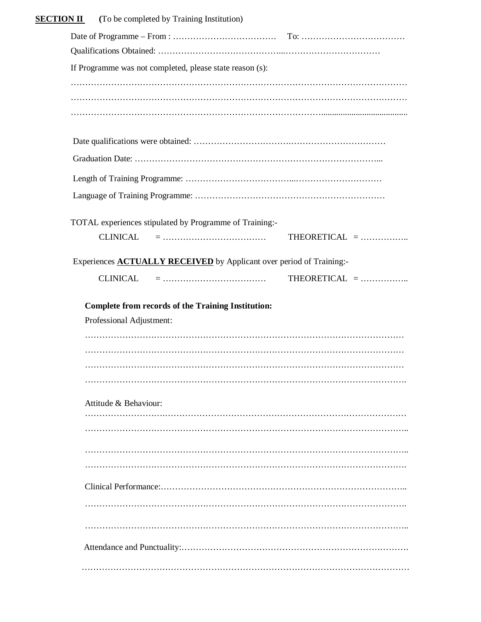| <b>SECTION II</b><br>(To be completed by Training Institution) |                                                                             |                 |
|----------------------------------------------------------------|-----------------------------------------------------------------------------|-----------------|
|                                                                |                                                                             |                 |
|                                                                |                                                                             |                 |
|                                                                | If Programme was not completed, please state reason (s):                    |                 |
|                                                                |                                                                             |                 |
|                                                                |                                                                             |                 |
|                                                                |                                                                             |                 |
|                                                                |                                                                             |                 |
|                                                                |                                                                             |                 |
|                                                                |                                                                             |                 |
|                                                                |                                                                             |                 |
|                                                                |                                                                             |                 |
|                                                                | TOTAL experiences stipulated by Programme of Training:-                     |                 |
| <b>CLINICAL</b>                                                |                                                                             | THEORETICAL $=$ |
|                                                                |                                                                             |                 |
|                                                                | Experiences <b>ACTUALLY RECEIVED</b> by Applicant over period of Training:- |                 |
|                                                                |                                                                             |                 |
| <b>CLINICAL</b>                                                | <b>Complete from records of the Training Institution:</b>                   |                 |
| Professional Adjustment:                                       |                                                                             |                 |
|                                                                |                                                                             |                 |
|                                                                |                                                                             |                 |
|                                                                |                                                                             |                 |
| Attitude & Behaviour:                                          |                                                                             |                 |
|                                                                |                                                                             |                 |
|                                                                |                                                                             |                 |
|                                                                |                                                                             |                 |
|                                                                |                                                                             |                 |
|                                                                |                                                                             |                 |
|                                                                |                                                                             |                 |
|                                                                |                                                                             |                 |
|                                                                |                                                                             | THEORETICAL $=$ |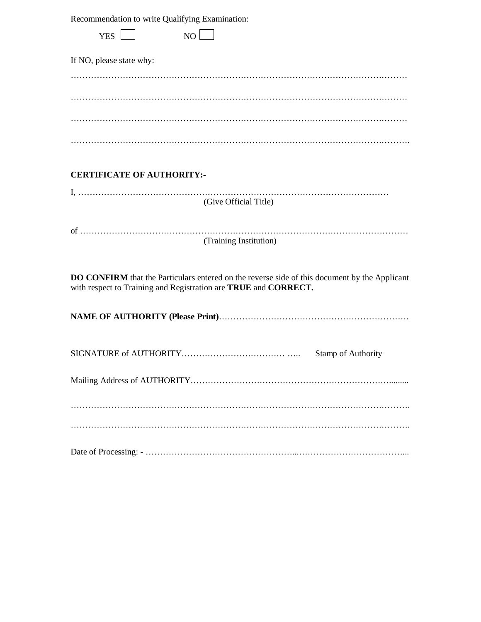| Recommendation to write Qualifying Examination: |  |  |  |  |
|-------------------------------------------------|--|--|--|--|
|-------------------------------------------------|--|--|--|--|

| Recommendation to write Qualifying Examination:                                                                                                                  |  |  |  |  |
|------------------------------------------------------------------------------------------------------------------------------------------------------------------|--|--|--|--|
| YES  <br>NO                                                                                                                                                      |  |  |  |  |
| If NO, please state why:                                                                                                                                         |  |  |  |  |
|                                                                                                                                                                  |  |  |  |  |
|                                                                                                                                                                  |  |  |  |  |
|                                                                                                                                                                  |  |  |  |  |
|                                                                                                                                                                  |  |  |  |  |
| <b>CERTIFICATE OF AUTHORITY:-</b>                                                                                                                                |  |  |  |  |
| (Give Official Title)                                                                                                                                            |  |  |  |  |
|                                                                                                                                                                  |  |  |  |  |
| (Training Institution)                                                                                                                                           |  |  |  |  |
| DO CONFIRM that the Particulars entered on the reverse side of this document by the Applicant<br>with respect to Training and Registration are TRUE and CORRECT. |  |  |  |  |
|                                                                                                                                                                  |  |  |  |  |
| Stamp of Authority                                                                                                                                               |  |  |  |  |
|                                                                                                                                                                  |  |  |  |  |
|                                                                                                                                                                  |  |  |  |  |
|                                                                                                                                                                  |  |  |  |  |
|                                                                                                                                                                  |  |  |  |  |